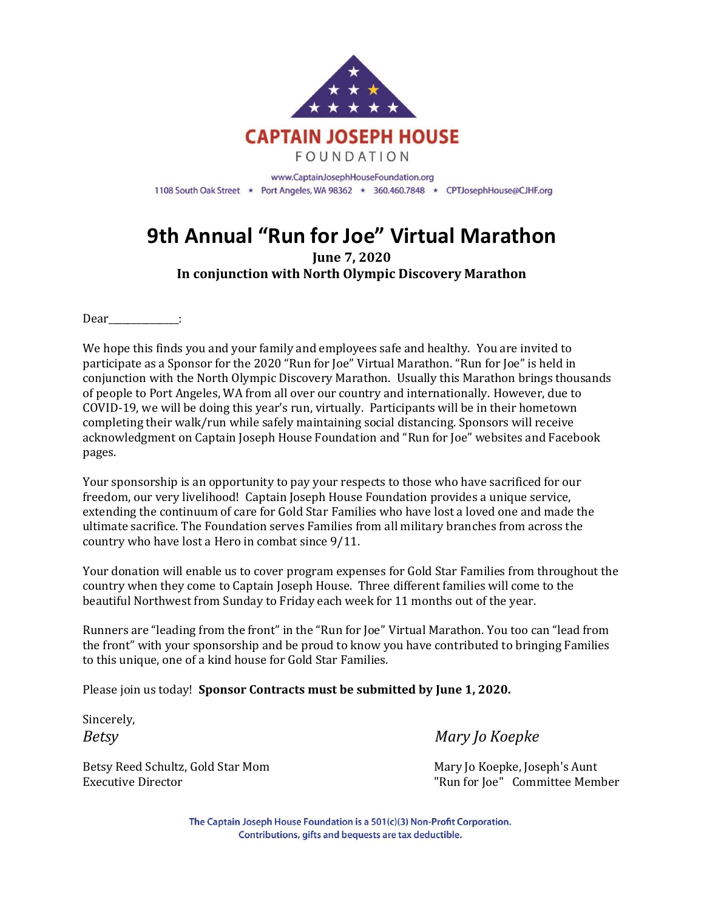

## **9th Annual "Run for Joe" Virtual Marathon**

**June 7, 2020 In conjunction with North Olympic Discovery Marathon**

Dear :

We hope this finds you and your family and employees safe and healthy. You are invited to participate as a Sponsor for the 2020 "Run for Joe" Virtual Marathon. "Run for Joe" is held in conjunction with the North Olympic Discovery Marathon. Usually this Marathon brings thousands of people to Port Angeles, WA from all over our country and internationally. However, due to COVID-19, we will be doing this year's run, virtually. Participants will be in their hometown completing their walk/run while safely maintaining social distancing. Sponsors will receive acknowledgment on Captain Joseph House Foundation and "Run for Joe" websites and Facebook pages.

Your sponsorship is an opportunity to pay your respects to those who have sacrificed for our freedom, our very livelihood! Captain Joseph House Foundation provides a unique service, extending the continuum of care for Gold Star Families who have lost a loved one and made the ultimate sacrifice. The Foundation serves Families from all military branches from across the country who have lost a Hero in combat since 9/11.

Your donation will enable us to cover program expenses for Gold Star Families from throughout the country when they come to Captain Joseph House. Three different families will come to the beautiful Northwest from Sunday to Friday each week for 11 months out of the year.

Runners are "leading from the front" in the "Run for Joe" Virtual Marathon. You too can "lead from the front" with your sponsorship and be proud to know you have contributed to bringing Families to this unique, one of a kind house for Gold Star Families.

Please join us today! **Sponsor Contracts must be submitted by June 1, 2020.**

Sincerely,

Betsy Reed Schultz, Gold Star Mom Mary Jo Koepke, Joseph's Aunt

*Betsy Mary Jo Koepke*

Executive Director "Run for Joe" Committee Member

The Captain Joseph House Foundation is a 501(c)(3) Non-Profit Corporation. Contributions, gifts and bequests are tax deductible.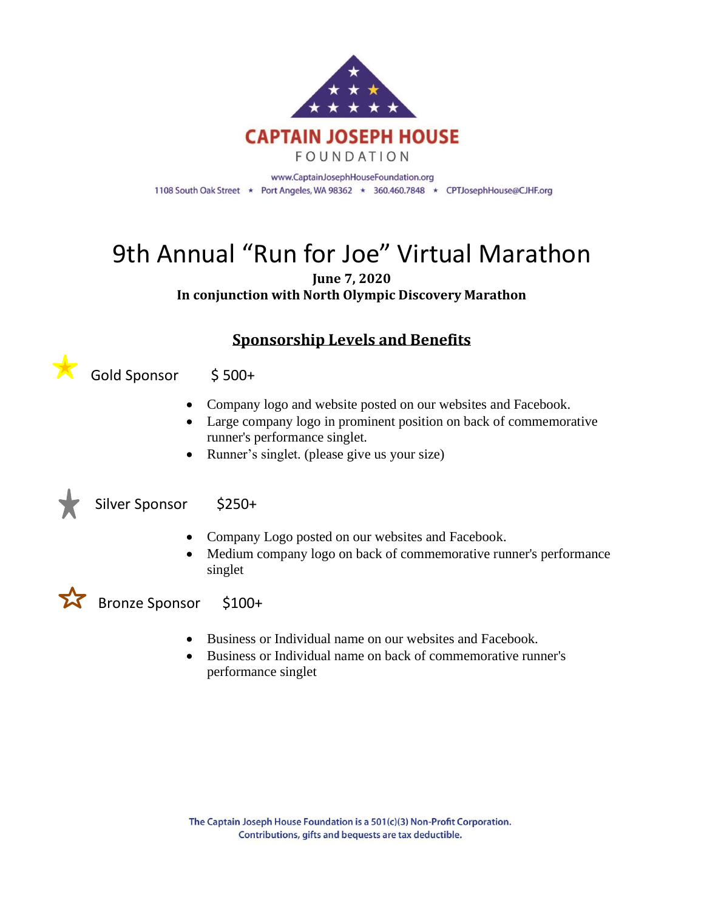

# 9th Annual "Run for Joe" Virtual Marathon

**June 7, 2020 In conjunction with North Olympic Discovery Marathon**

#### **Sponsorship Levels and Benefits**

Gold Sponsor \$ 500+

- Company logo and website posted on our websites and Facebook.
- Large company logo in prominent position on back of commemorative runner's performance singlet.
- Runner's singlet. (please give us your size)



Silver Sponsor \$250+

- Company Logo posted on our websites and Facebook.
- Medium company logo on back of commemorative runner's performance singlet

#### Bronze Sponsor \$100+

- Business or Individual name on our websites and Facebook.
- Business or Individual name on back of commemorative runner's performance singlet